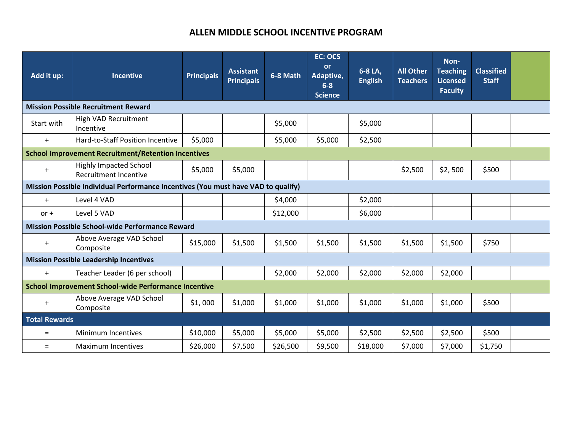# **ALLEN MIDDLE SCHOOL INCENTIVE PROGRAM**

| Add it up:                                                                        | <b>Incentive</b>                                              | <b>Principals</b> | <b>Assistant</b><br><b>Principals</b> | 6-8 Math | <b>EC: OCS</b><br><b>or</b><br>Adaptive,<br>$6 - 8$<br><b>Science</b> | 6-8 LA,<br><b>English</b> | <b>All Other</b><br><b>Teachers</b> | Non-<br><b>Teaching</b><br><b>Licensed</b><br><b>Faculty</b> | <b>Classified</b><br><b>Staff</b> |  |
|-----------------------------------------------------------------------------------|---------------------------------------------------------------|-------------------|---------------------------------------|----------|-----------------------------------------------------------------------|---------------------------|-------------------------------------|--------------------------------------------------------------|-----------------------------------|--|
| <b>Mission Possible Recruitment Reward</b>                                        |                                                               |                   |                                       |          |                                                                       |                           |                                     |                                                              |                                   |  |
| Start with                                                                        | High VAD Recruitment<br>Incentive                             |                   |                                       | \$5,000  |                                                                       | \$5,000                   |                                     |                                                              |                                   |  |
| $+$                                                                               | Hard-to-Staff Position Incentive                              | \$5,000           |                                       | \$5,000  | \$5,000                                                               | \$2,500                   |                                     |                                                              |                                   |  |
| <b>School Improvement Recruitment/Retention Incentives</b>                        |                                                               |                   |                                       |          |                                                                       |                           |                                     |                                                              |                                   |  |
| $\ddot{}$                                                                         | <b>Highly Impacted School</b><br><b>Recruitment Incentive</b> | \$5,000           | \$5,000                               |          |                                                                       |                           | \$2,500                             | \$2,500                                                      | \$500                             |  |
| Mission Possible Individual Performance Incentives (You must have VAD to qualify) |                                                               |                   |                                       |          |                                                                       |                           |                                     |                                                              |                                   |  |
| $+$                                                                               | Level 4 VAD                                                   |                   |                                       | \$4,000  |                                                                       | \$2,000                   |                                     |                                                              |                                   |  |
| $or +$                                                                            | Level 5 VAD                                                   |                   |                                       | \$12,000 |                                                                       | \$6,000                   |                                     |                                                              |                                   |  |
| <b>Mission Possible School-wide Performance Reward</b>                            |                                                               |                   |                                       |          |                                                                       |                           |                                     |                                                              |                                   |  |
| $+$                                                                               | Above Average VAD School<br>Composite                         | \$15,000          | \$1,500                               | \$1,500  | \$1,500                                                               | \$1,500                   | \$1,500                             | \$1,500                                                      | \$750                             |  |
| <b>Mission Possible Leadership Incentives</b>                                     |                                                               |                   |                                       |          |                                                                       |                           |                                     |                                                              |                                   |  |
| $+$                                                                               | Teacher Leader (6 per school)                                 |                   |                                       | \$2,000  | \$2,000                                                               | \$2,000                   | \$2,000                             | \$2,000                                                      |                                   |  |
| <b>School Improvement School-wide Performance Incentive</b>                       |                                                               |                   |                                       |          |                                                                       |                           |                                     |                                                              |                                   |  |
| $+$                                                                               | Above Average VAD School<br>Composite                         | \$1,000           | \$1,000                               | \$1,000  | \$1,000                                                               | \$1,000                   | \$1,000                             | \$1,000                                                      | \$500                             |  |
| <b>Total Rewards</b>                                                              |                                                               |                   |                                       |          |                                                                       |                           |                                     |                                                              |                                   |  |
| $=$                                                                               | Minimum Incentives                                            | \$10,000          | \$5,000                               | \$5,000  | \$5,000                                                               | \$2,500                   | \$2,500                             | \$2,500                                                      | \$500                             |  |
| $=$                                                                               | <b>Maximum Incentives</b>                                     | \$26,000          | \$7,500                               | \$26,500 | \$9,500                                                               | \$18,000                  | \$7,000                             | \$7,000                                                      | \$1,750                           |  |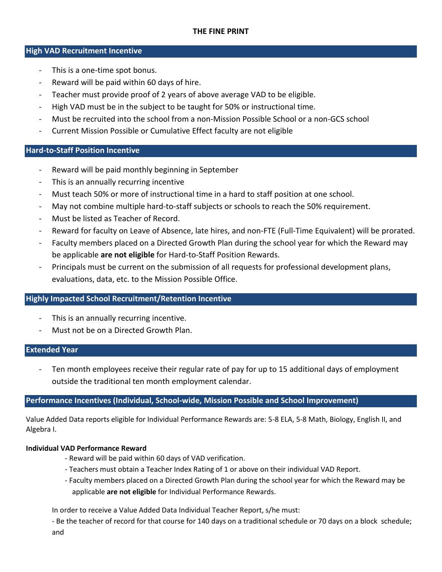#### **High VAD Recruitment Incentive**

- This is a one-time spot bonus.
- Reward will be paid within 60 days of hire.
- Teacher must provide proof of 2 years of above average VAD to be eligible.
- High VAD must be in the subject to be taught for 50% or instructional time.
- Must be recruited into the school from a non-Mission Possible School or a non-GCS school
- Current Mission Possible or Cumulative Effect faculty are not eligible

## **Hard-to-Staff Position Incentive**

- Reward will be paid monthly beginning in September
- This is an annually recurring incentive
- Must teach 50% or more of instructional time in a hard to staff position at one school.
- May not combine multiple hard-to-staff subjects or schools to reach the 50% requirement.
- Must be listed as Teacher of Record.
- Reward for faculty on Leave of Absence, late hires, and non-FTE (Full-Time Equivalent) will be prorated.
- Faculty members placed on a Directed Growth Plan during the school year for which the Reward may be applicable **are not eligible** for Hard-to-Staff Position Rewards.
- Principals must be current on the submission of all requests for professional development plans, evaluations, data, etc. to the Mission Possible Office.

## **Highly Impacted School Recruitment/Retention Incentive**

- This is an annually recurring incentive.
- Must not be on a Directed Growth Plan.

## **Extended Year**

Ten month employees receive their regular rate of pay for up to 15 additional days of employment outside the traditional ten month employment calendar.

## **Performance Incentives (Individual, School-wide, Mission Possible and School Improvement)**

Value Added Data reports eligible for Individual Performance Rewards are: 5-8 ELA, 5-8 Math, Biology, English II, and Algebra I.

## **Individual VAD Performance Reward**

- Reward will be paid within 60 days of VAD verification.
- Teachers must obtain a Teacher Index Rating of 1 or above on their individual VAD Report.
- Faculty members placed on a Directed Growth Plan during the school year for which the Reward may be applicable **are not eligible** for Individual Performance Rewards.

In order to receive a Value Added Data Individual Teacher Report, s/he must:

- Be the teacher of record for that course for 140 days on a traditional schedule or 70 days on a block schedule; and